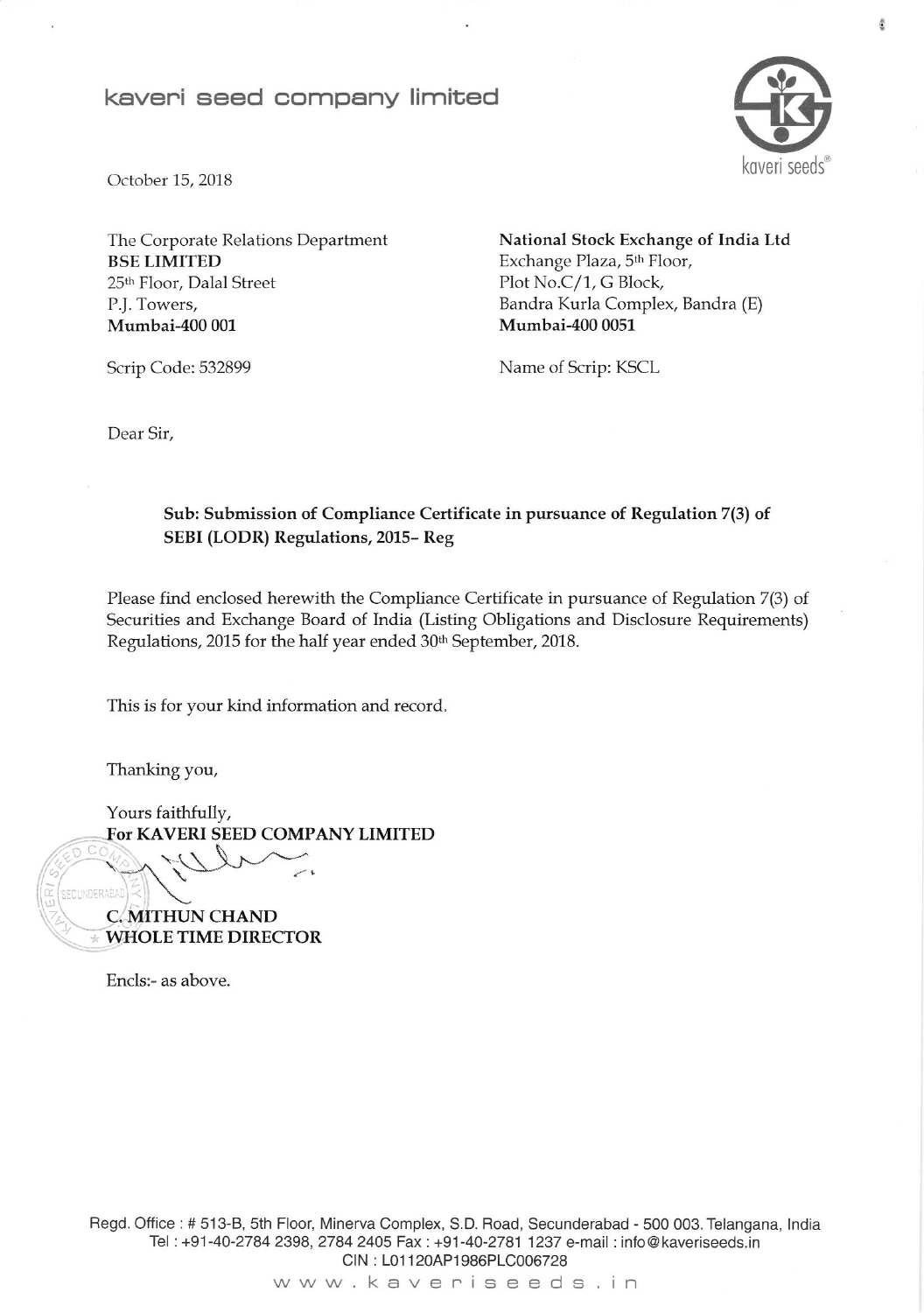## kaveri seed company limited



ê

October 15, 2018

The Corporate Relations Department BSE LIMITED 25<sup>th</sup> Floor, Dalal Street P.J. Towers, Mumbai-400 001

National Stock Exchange of India Ltd Exchange Plaza, 5th Floor, Plot No.C/1, G Block, Bandra Kurla Complex, Bandra (E) Mumbai-400 0051

Scrip Code: 532899 Name of Scrip: KSCL

Dear Sir,

## Sub: Submission of Compliance Certificate in pursuance of Regulation 7(3) of SEBI (LODR) Regulations, 2015- Reg

Please find enclosed herewith the Compliance Certificate in pursuance of Regulation 7(3) of Securities and Exchange Board of India (Listing Obligations and Disclosure Requirements) Regulations, 2015 for the half year ended 30<sup>th</sup> September, 2018.

This is for your kind information and record.

Thanking you,

Yours faithfully, FoT KAVERI SEED COMPANY LIMITED

FCUNDERABA

C. MITHUN CHAND WHOLE TIME DIRECTOR

Encls:- as above.

Regd. Office : # 513-B, 5th Floor, Minerva Complex, S.D. Road, Secunderabad - 500 003. Telangana, India fel: +91-40-2784 2398,2784 2405 Fax:+91-40-2781 1237 e-mail : info @ kaveriseeds.in CIN: L01120AP1986PLC006728